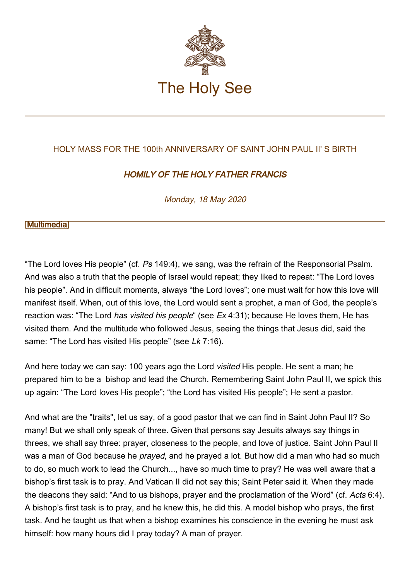

## HOLY MASS FOR THE 100th ANNIVERSARY OF SAINT JOHN PAUL II' S BIRTH

## HOMILY OF THE HOLY FATHER FRANCIS

Monday, 18 May 2020

## **[\[Multimedia](http://w2.vatican.va/content/francesco/en/events/event.dir.html/content/vaticanevents/en/2020/5/18/100anni-gpii.html)]**

"The Lord loves His people" (cf. Ps 149:4), we sang, was the refrain of the Responsorial Psalm. And was also a truth that the people of Israel would repeat; they liked to repeat: "The Lord loves his people". And in difficult moments, always "the Lord loves"; one must wait for how this love will manifest itself. When, out of this love, the Lord would sent a prophet, a man of God, the people's reaction was: "The Lord has visited his people" (see  $Ex 4:31$ ); because He loves them, He has visited them. And the multitude who followed Jesus, seeing the things that Jesus did, said the same: "The Lord has visited His people" (see Lk 7:16).

And here today we can say: 100 years ago the Lord visited His people. He sent a man; he prepared him to be a bishop and lead the Church. Remembering Saint John Paul II, we spick this up again: "The Lord loves His people"; "the Lord has visited His people"; He sent a pastor.

And what are the "traits", let us say, of a good pastor that we can find in Saint John Paul II? So many! But we shall only speak of three. Given that persons say Jesuits always say things in threes, we shall say three: prayer, closeness to the people, and love of justice. Saint John Paul II was a man of God because he *prayed*, and he prayed a lot. But how did a man who had so much to do, so much work to lead the Church..., have so much time to pray? He was well aware that a bishop's first task is to pray. And Vatican II did not say this; Saint Peter said it. When they made the deacons they said: "And to us bishops, prayer and the proclamation of the Word" (cf. Acts 6:4). A bishop's first task is to pray, and he knew this, he did this. A model bishop who prays, the first task. And he taught us that when a bishop examines his conscience in the evening he must ask himself: how many hours did I pray today? A man of prayer.